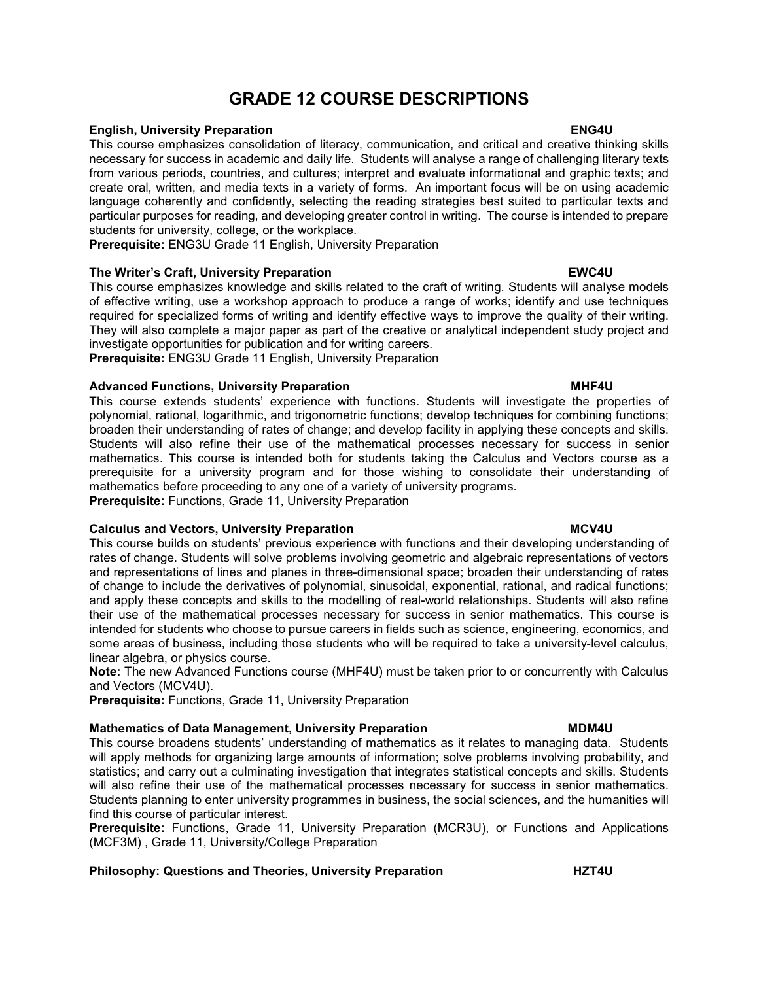# GRADE 12 COURSE DESCRIPTIONS

### **English, University Preparation English, English, ENG4U**

This course emphasizes consolidation of literacy, communication, and critical and creative thinking skills necessary for success in academic and daily life. Students will analyse a range of challenging literary texts from various periods, countries, and cultures; interpret and evaluate informational and graphic texts; and create oral, written, and media texts in a variety of forms. An important focus will be on using academic language coherently and confidently, selecting the reading strategies best suited to particular texts and particular purposes for reading, and developing greater control in writing. The course is intended to prepare students for university, college, or the workplace.

Prerequisite: ENG3U Grade 11 English, University Preparation

# The Writer's Craft, University Preparation EWC4U

This course emphasizes knowledge and skills related to the craft of writing. Students will analyse models of effective writing, use a workshop approach to produce a range of works; identify and use techniques required for specialized forms of writing and identify effective ways to improve the quality of their writing. They will also complete a major paper as part of the creative or analytical independent study project and investigate opportunities for publication and for writing careers. Prerequisite: ENG3U Grade 11 English, University Preparation

Advanced Functions, University Preparation MHT4U This course extends students' experience with functions. Students will investigate the properties of polynomial, rational, logarithmic, and trigonometric functions; develop techniques for combining functions; broaden their understanding of rates of change; and develop facility in applying these concepts and skills. Students will also refine their use of the mathematical processes necessary for success in senior mathematics. This course is intended both for students taking the Calculus and Vectors course as a prerequisite for a university program and for those wishing to consolidate their understanding of mathematics before proceeding to any one of a variety of university programs.

Prerequisite: Functions, Grade 11, University Preparation

# Calculus and Vectors, University Preparation MCV4U

This course builds on students' previous experience with functions and their developing understanding of rates of change. Students will solve problems involving geometric and algebraic representations of vectors and representations of lines and planes in three-dimensional space; broaden their understanding of rates of change to include the derivatives of polynomial, sinusoidal, exponential, rational, and radical functions; and apply these concepts and skills to the modelling of real-world relationships. Students will also refine their use of the mathematical processes necessary for success in senior mathematics. This course is intended for students who choose to pursue careers in fields such as science, engineering, economics, and some areas of business, including those students who will be required to take a university-level calculus, linear algebra, or physics course.

Note: The new Advanced Functions course (MHF4U) must be taken prior to or concurrently with Calculus and Vectors (MCV4U).

Prerequisite: Functions, Grade 11, University Preparation

# Mathematics of Data Management, University Preparation MATHORALL MUST MOMAU

This course broadens students' understanding of mathematics as it relates to managing data. Students will apply methods for organizing large amounts of information; solve problems involving probability, and statistics; and carry out a culminating investigation that integrates statistical concepts and skills. Students will also refine their use of the mathematical processes necessary for success in senior mathematics. Students planning to enter university programmes in business, the social sciences, and the humanities will find this course of particular interest.

Prerequisite: Functions, Grade 11, University Preparation (MCR3U), or Functions and Applications (MCF3M) , Grade 11, University/College Preparation

# Philosophy: Questions and Theories, University Preparation **HZT4U**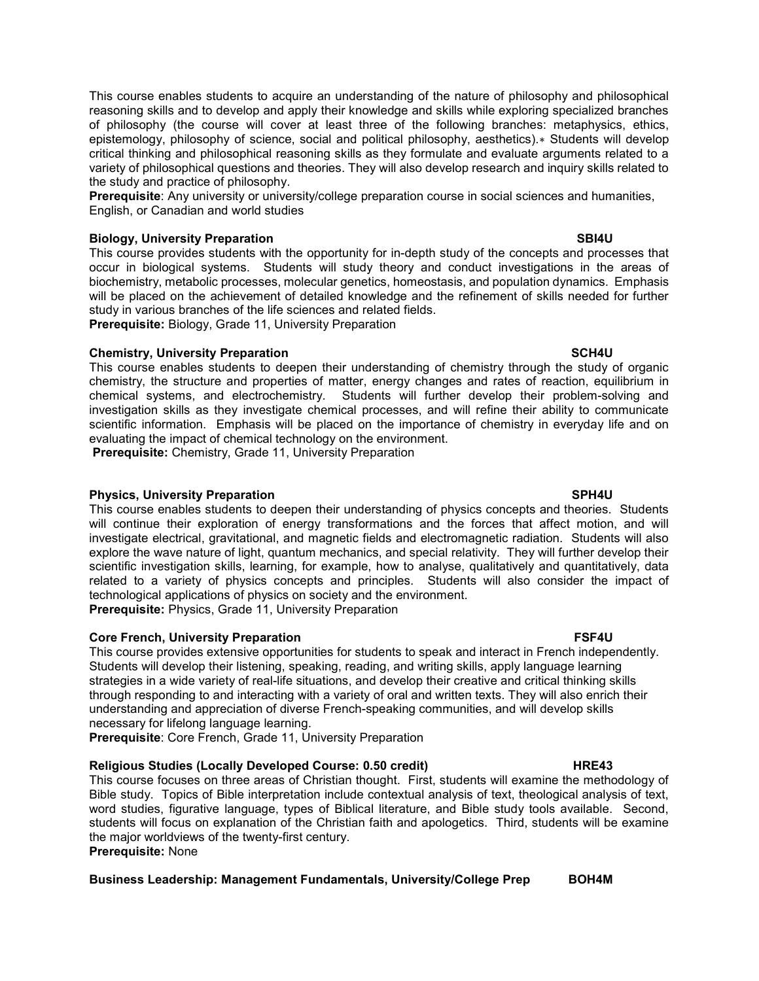This course enables students to acquire an understanding of the nature of philosophy and philosophical reasoning skills and to develop and apply their knowledge and skills while exploring specialized branches of philosophy (the course will cover at least three of the following branches: metaphysics, ethics, epistemology, philosophy of science, social and political philosophy, aesthetics).∗ Students will develop critical thinking and philosophical reasoning skills as they formulate and evaluate arguments related to a variety of philosophical questions and theories. They will also develop research and inquiry skills related to the study and practice of philosophy.

Prerequisite: Any university or university/college preparation course in social sciences and humanities, English, or Canadian and world studies

# Biology, University Preparation SBI4U SBI4U

This course provides students with the opportunity for in-depth study of the concepts and processes that occur in biological systems. Students will study theory and conduct investigations in the areas of biochemistry, metabolic processes, molecular genetics, homeostasis, and population dynamics. Emphasis will be placed on the achievement of detailed knowledge and the refinement of skills needed for further study in various branches of the life sciences and related fields. Prerequisite: Biology, Grade 11, University Preparation

**Chemistry, University Preparation SCH4U** SCH4U

This course enables students to deepen their understanding of chemistry through the study of organic chemistry, the structure and properties of matter, energy changes and rates of reaction, equilibrium in chemical systems, and electrochemistry. Students will further develop their problem-solving and investigation skills as they investigate chemical processes, and will refine their ability to communicate scientific information. Emphasis will be placed on the importance of chemistry in everyday life and on evaluating the impact of chemical technology on the environment.

Prerequisite: Chemistry, Grade 11, University Preparation

### Physics, University Preparation SPH4U

This course enables students to deepen their understanding of physics concepts and theories. Students will continue their exploration of energy transformations and the forces that affect motion, and will investigate electrical, gravitational, and magnetic fields and electromagnetic radiation. Students will also explore the wave nature of light, quantum mechanics, and special relativity. They will further develop their scientific investigation skills, learning, for example, how to analyse, qualitatively and quantitatively, data related to a variety of physics concepts and principles. Students will also consider the impact of technological applications of physics on society and the environment.

Prerequisite: Physics, Grade 11, University Preparation

# Core French, University Preparation FSF4U

This course provides extensive opportunities for students to speak and interact in French independently. Students will develop their listening, speaking, reading, and writing skills, apply language learning strategies in a wide variety of real-life situations, and develop their creative and critical thinking skills through responding to and interacting with a variety of oral and written texts. They will also enrich their understanding and appreciation of diverse French-speaking communities, and will develop skills necessary for lifelong language learning.

Prerequisite: Core French, Grade 11, University Preparation

### Religious Studies (Locally Developed Course: 0.50 credit) The MRE43

This course focuses on three areas of Christian thought. First, students will examine the methodology of Bible study. Topics of Bible interpretation include contextual analysis of text, theological analysis of text, word studies, figurative language, types of Biblical literature, and Bible study tools available. Second, students will focus on explanation of the Christian faith and apologetics. Third, students will be examine the major worldviews of the twenty-first century. Prerequisite: None

# Business Leadership: Management Fundamentals, University/College Prep BOH4M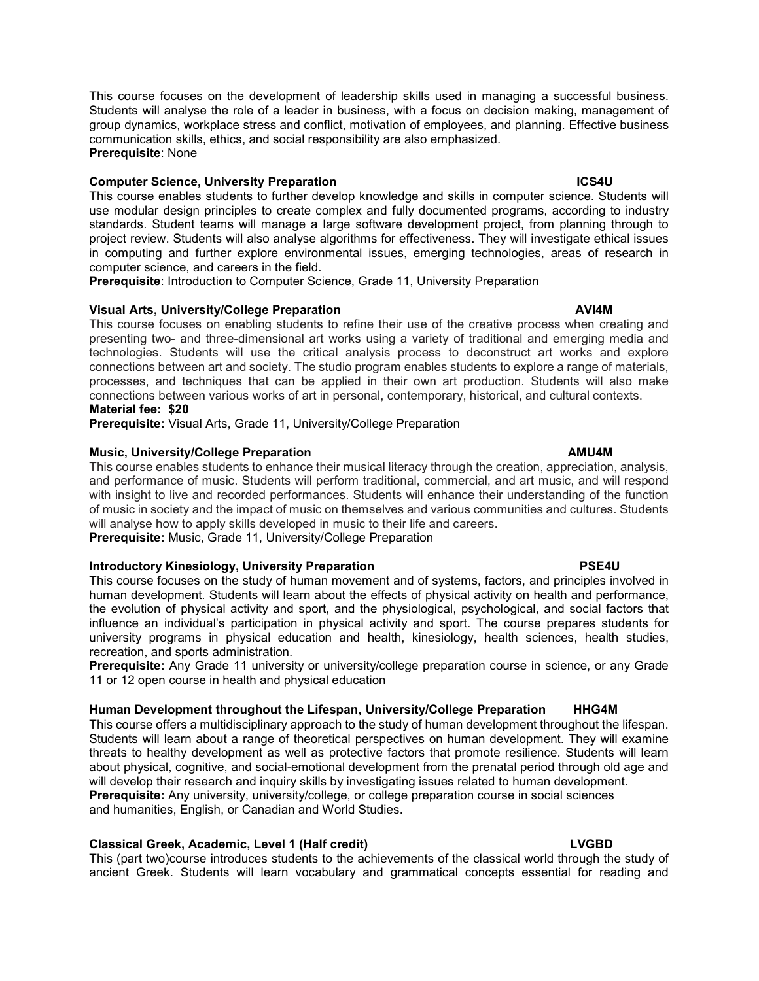This course focuses on the development of leadership skills used in managing a successful business. Students will analyse the role of a leader in business, with a focus on decision making, management of group dynamics, workplace stress and conflict, motivation of employees, and planning. Effective business communication skills, ethics, and social responsibility are also emphasized. Prerequisite: None

### Computer Science, University Preparation **ICS4U** and ICS4U

This course enables students to further develop knowledge and skills in computer science. Students will use modular design principles to create complex and fully documented programs, according to industry standards. Student teams will manage a large software development project, from planning through to project review. Students will also analyse algorithms for effectiveness. They will investigate ethical issues in computing and further explore environmental issues, emerging technologies, areas of research in computer science, and careers in the field.

Prerequisite: Introduction to Computer Science, Grade 11, University Preparation

# Visual Arts, University/College Preparation AVI4M

This course focuses on enabling students to refine their use of the creative process when creating and presenting two- and three-dimensional art works using a variety of traditional and emerging media and technologies. Students will use the critical analysis process to deconstruct art works and explore connections between art and society. The studio program enables students to explore a range of materials, processes, and techniques that can be applied in their own art production. Students will also make connections between various works of art in personal, contemporary, historical, and cultural contexts. Material fee: \$20

Prerequisite: Visual Arts, Grade 11, University/College Preparation

### Music, University/College Preparation AMU4M

This course enables students to enhance their musical literacy through the creation, appreciation, analysis, and performance of music. Students will perform traditional, commercial, and art music, and will respond with insight to live and recorded performances. Students will enhance their understanding of the function of music in society and the impact of music on themselves and various communities and cultures. Students will analyse how to apply skills developed in music to their life and careers.

Prerequisite: Music, Grade 11, University/College Preparation

### Introductory Kinesiology, University Preparation **PSE4U** PSE4U

This course focuses on the study of human movement and of systems, factors, and principles involved in human development. Students will learn about the effects of physical activity on health and performance, the evolution of physical activity and sport, and the physiological, psychological, and social factors that influence an individual's participation in physical activity and sport. The course prepares students for university programs in physical education and health, kinesiology, health sciences, health studies, recreation, and sports administration.

Prerequisite: Any Grade 11 university or university/college preparation course in science, or any Grade 11 or 12 open course in health and physical education

# Human Development throughout the Lifespan, University/College Preparation HHG4M

This course offers a multidisciplinary approach to the study of human development throughout the lifespan. Students will learn about a range of theoretical perspectives on human development. They will examine threats to healthy development as well as protective factors that promote resilience. Students will learn about physical, cognitive, and social-emotional development from the prenatal period through old age and will develop their research and inquiry skills by investigating issues related to human development. Prerequisite: Any university, university/college, or college preparation course in social sciences and humanities, English, or Canadian and World Studies.

# Classical Greek, Academic, Level 1 (Half credit) LVGBD

This (part two)course introduces students to the achievements of the classical world through the study of ancient Greek. Students will learn vocabulary and grammatical concepts essential for reading and